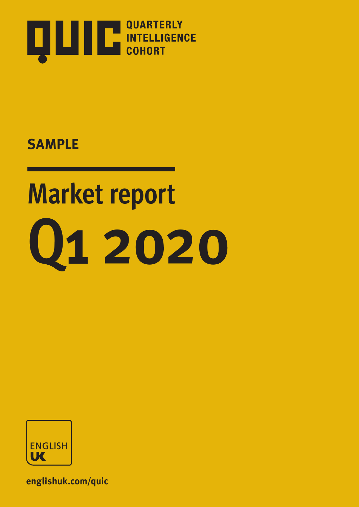

# **Market report Q1 2020**



**englishuk.com/quic**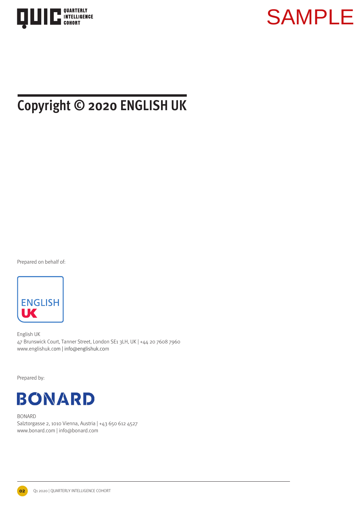



### **Copyright © 2020 ENGLISH UK**

Prepared on behalf of:



English UK 47 Brunswick Court, Tanner Street, London SE1 3LH, UK | +44 20 7608 7960 www.englishuk.com | info@englishuk.com

Prepared by:



BONARD Salztorgasse 2, 1010 Vienna, Austria | +43 650 612 4527 www.bonard.com | info@bonard.com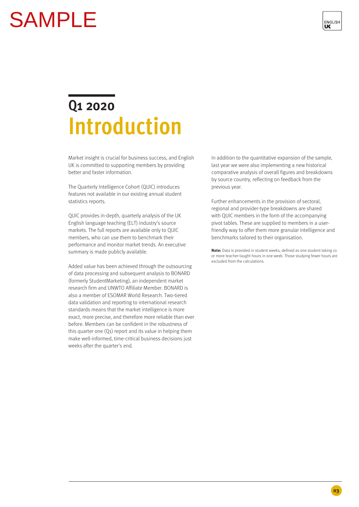

### **Q1 2020 Introduction**

Market insight is crucial for business success, and English UK is committed to supporting members by providing better and faster information.

The Quarterly Intelligence Cohort (QUIC) introduces features not available in our existing annual student statistics reports.

QUIC provides in-depth, quarterly analysis of the UK English language teaching (ELT) industry's source markets. The full reports are available only to QUIC members, who can use them to benchmark their performance and monitor market trends. An executive summary is made publicly available.

Added value has been achieved through the outsourcing of data processing and subsequent analysis to BONARD (formerly StudentMarketing), an independent market research firm and UNWTO Affiliate Member. BONARD is also a member of ESOMAR World Research. Two-tiered data validation and reporting to international research standards means that the market intelligence is more exact, more precise, and therefore more reliable than ever before. Members can be confident in the robustness of this quarter one (Q1) report and its value in helping them make well-informed, time-critical business decisions just weeks after the quarter's end. **CAMPLE**<br> **CAMPLE**<br> **CAMPLE**<br> **CAMPLE**<br> **CAMPLE**<br> **CAMPLE**<br> **CAMPLE**<br> **CAMPLE**<br> **CAMPLE**<br> **CAMPLE**<br> **CAMPLE**<br> **CAMPLE**<br> **CAMPLE**<br> **CAMPLE**<br> **CAMPLE**<br> **CAMPLE**<br> **CAMPLE**<br> **CAMPLE**<br> **CAMPLE**<br> **CAMPLE**<br> **CAMPLE**<br> **CAMPLE**<br> **C** 

In addition to the quantitative expansion of the sample, last year we were also implementing a new historical comparative analysis of overall figures and breakdowns by source country, reflecting on feedback from the previous year.

Further enhancements in the provision of sectoral, regional and provider-type breakdowns are shared with QUIC members in the form of the accompanying pivot tables. These are supplied to members in a userfriendly way to offer them more granular intelligence and benchmarks tailored to their organisation.

**Note:** Data is provided in student weeks, defined as one student taking 10 or more teacher-taught hours in one week. Those studying fewer hours are excluded from the calculations.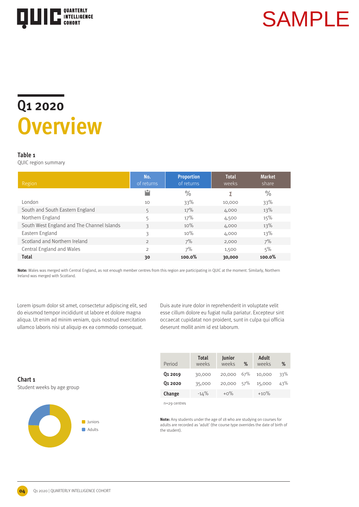

### **Q1 2020 Overview**

### **Table 1**

QUIC region summary

| Region                                     | No.<br>of returns | <b>Proportion</b><br>of returns | <b>Total</b><br>weeks | <b>Market</b><br>share |
|--------------------------------------------|-------------------|---------------------------------|-----------------------|------------------------|
|                                            |                   | $\frac{0}{0}$                   | Σ                     | $\frac{0}{0}$          |
| London                                     | 10                | 33%                             | 10,000                | 33%                    |
| South and South Eastern England            | 5                 | 17%                             | 4,000                 | 13%                    |
| Northern England                           | 5                 | 17%                             | 4,500                 | 15%                    |
| South West England and The Channel Islands | 3                 | 10%                             | 4,000                 | 13%                    |
| Eastern England                            | 3                 | 10%                             | 4,000                 | 13%                    |
| Scotland and Northern Ireland              | $\mathfrak{D}$    | 7%                              | 2,000                 | 7%                     |
| Central England and Wales                  | $\mathfrak{D}$    | 7%                              | 1,500                 | 5%                     |
| <b>Total</b>                               | 30                | 100.0%                          | 30,000                | 100.0%                 |

**Note:** Wales was merged with Central England, as not enough member centres from this region are participating in QUIC at the moment. Similarly, Northern Ireland was merged with Scotland.

Lorem ipsum dolor sit amet, consectetur adipiscing elit, sed do eiusmod tempor incididunt ut labore et dolore magna aliqua. Ut enim ad minim veniam, quis nostrud exercitation ullamco laboris nisi ut aliquip ex ea commodo consequat.

Duis aute irure dolor in reprehenderit in voluptate velit esse cillum dolore eu fugiat nulla pariatur. Excepteur sint occaecat cupidatat non proident, sunt in culpa qui officia deserunt mollit anim id est laborum.

**Chart 1** Student weeks by age group

**04**



| Period              | <b>Total</b><br>weeks | Junior<br>weeks | $\%$ | Adult<br>weeks | %   |
|---------------------|-----------------------|-----------------|------|----------------|-----|
| Q <sub>1</sub> 2019 | 30,000                | 20,000          | 67%  | 10,000         | 33% |
| Q <sub>1</sub> 2020 | 35,000                | 20,000 57%      |      | 15,000         | 43% |
| Change              | $-14%$                | $+0\%$          |      | $+10%$         |     |

n=29 centres

**Note:** Any students under the age of 18 who are studying on courses for adults are recorded as 'adult' (the course type overrides the date of birth of the student).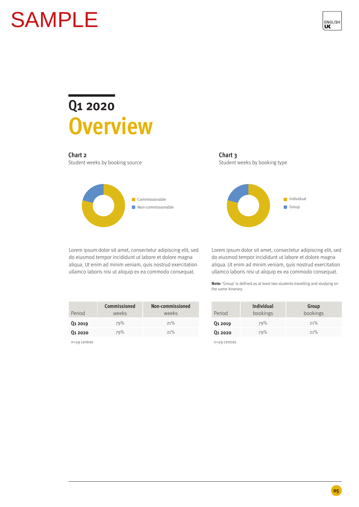

# **Overview**

### **Chart 2**

Student weeks by booking source



Lorem ipsum dolor sit amet, consectetur adipiscing elit, sed do eiusmod tempor incididunt ut labore et dolore magna aliqua. Ut enim ad minim veniam, quis nostrud exercitation ullamco laboris nisi ut aliquip ex ea commodo consequat.

**Chart 3** Student weeks by booking type



Lorem ipsum dolor sit amet, consectetur adipiscing elit, sed do eiusmod tempor incididunt ut labore et dolore magna aliqua. Ut enim ad minim veniam, quis nostrud exercitation ullamco laboris nisi ut aliquip ex ea commodo consequat.

**Note:** 'Group' is defined as at least two students travelling and studying on the same itinerary.

|                     | Commissioned | Non-commissioned |
|---------------------|--------------|------------------|
| Period              | weeks        | weeks            |
| Q <sub>1</sub> 2019 | 79%          | 21%              |
| 01 20 20            | 79%          | 21%              |

n=29 centres

**Chart 2**<br>
Chart 2<br>
Chart 2<br>
Chart 2<br>
Contributes by booking some<br>
Experimensions<br>
Level is consistent and the conservation of the conservation of the conservation of the conservation of the conservation of the conservatio **Q1 2019 Q1 2020** Period **Individual** bookings **Group** bookings 79% 79% 21% 21%

n=29 centres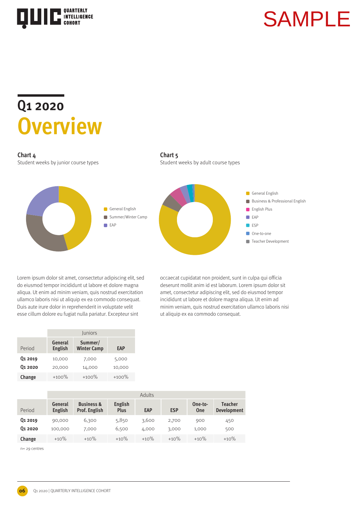

### **Q1 2020 Overview**

### **Chart 4**

Student weeks by junior course types





Lorem ipsum dolor sit amet, consectetur adipiscing elit, sed do eiusmod tempor incididunt ut labore et dolore magna aliqua. Ut enim ad minim veniam, quis nostrud exercitation ullamco laboris nisi ut aliquip ex ea commodo consequat. Duis aute irure dolor in reprehenderit in voluptate velit esse cillum dolore eu fugiat nulla pariatur. Excepteur sint

occaecat cupidatat non proident, sunt in culpa qui officia deserunt mollit anim id est laborum. Lorem ipsum dolor sit amet, consectetur adipiscing elit, sed do eiusmod tempor incididunt ut labore et dolore magna aliqua. Ut enim ad minim veniam, quis nostrud exercitation ullamco laboris nisi ut aliquip ex ea commodo consequat.

|                     | Juniors                   |                               |            |  |  |  |  |
|---------------------|---------------------------|-------------------------------|------------|--|--|--|--|
| Period              | General<br><b>English</b> | Summer/<br><b>Winter Camp</b> | <b>EAP</b> |  |  |  |  |
| Q <sub>1</sub> 2019 | 10,000                    | 7,000                         | 5,000      |  |  |  |  |
| Q <sub>1</sub> 2020 | 20,000                    | 14,000                        | 10,000     |  |  |  |  |
| Change              | $+100%$                   | $+100%$                       | $+100%$    |  |  |  |  |

|                     |                    | Adults                                        |                        |            |            |                |                                      |  |
|---------------------|--------------------|-----------------------------------------------|------------------------|------------|------------|----------------|--------------------------------------|--|
| Period              | General<br>English | <b>Business &amp;</b><br><b>Prof. English</b> | English<br><b>Plus</b> | <b>EAP</b> | <b>ESP</b> | One-to-<br>One | <b>Teacher</b><br><b>Development</b> |  |
| Q <sub>1</sub> 2019 | 90,000             | 6,300                                         | 5,850                  | 3,600      | 2,700      | 900            | 450                                  |  |
| 01 20 20            | 100,000            | 7,000                                         | 6,500                  | 4,000      | 3,000      | 1,000          | 500                                  |  |
| Change              | $+10%$             | $+10%$                                        | $+10%$                 | $+10%$     | $+10%$     | $+10%$         | $+10%$                               |  |

n= 29 centres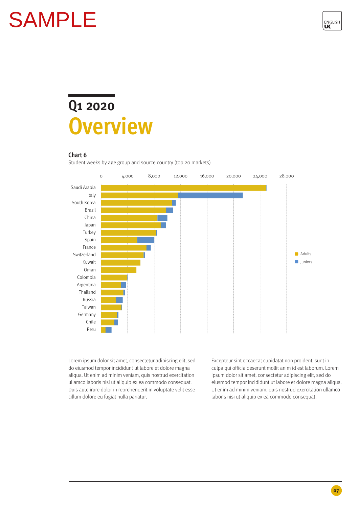

### **Q1 2020 Overview**

### **Chart 6**

Student weeks by age group and source country (top 20 markets)



Lorem ipsum dolor sit amet, consectetur adipiscing elit, sed do eiusmod tempor incididunt ut labore et dolore magna aliqua. Ut enim ad minim veniam, quis nostrud exercitation ullamco laboris nisi ut aliquip ex ea commodo consequat. Duis aute irure dolor in reprehenderit in voluptate velit esse cillum dolore eu fugiat nulla pariatur.

Excepteur sint occaecat cupidatat non proident, sunt in culpa qui officia deserunt mollit anim id est laborum. Lorem ipsum dolor sit amet, consectetur adipiscing elit, sed do eiusmod tempor incididunt ut labore et dolore magna aliqua. Ut enim ad minim veniam, quis nostrud exercitation ullamco laboris nisi ut aliquip ex ea commodo consequat.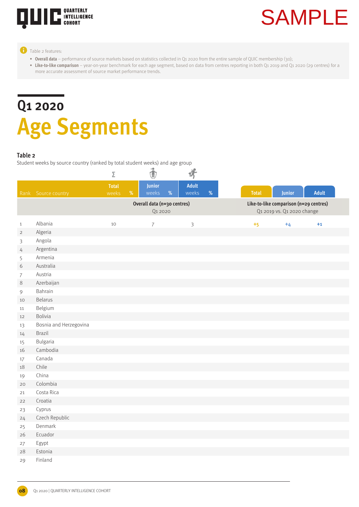

### **Table 2 features:**

- **• Overall data**  performance of source markets based on statistics collected in Q1 2020 from the entire sample of QUIC membership (30);
- Like-to-like comparison year-on-year benchmark for each age segment, based on data from centres reporting in both Q1 2019 and Q1 2020 (29 centres) for a more accurate assessment of source market performance trends.

## **Q1 2020 Age Segments**

### **Table 2**

Student weeks by source country (ranked by total student weeks) and age group

|                |                        | Σ            |      | $\ddot{\textbf{t}}$         |      | 济              |   |              |                            |                                        |  |
|----------------|------------------------|--------------|------|-----------------------------|------|----------------|---|--------------|----------------------------|----------------------------------------|--|
|                |                        | <b>Total</b> |      | Junior                      |      | Adult          |   |              |                            |                                        |  |
|                | Rank Source country    | weeks        | $\%$ | weeks                       | $\%$ | weeks          | % | <b>Total</b> | Junior                     | <b>Adult</b>                           |  |
|                |                        |              |      | Overall data (n=30 centres) |      |                |   |              |                            | Like-to-like comparison (n=29 centres) |  |
|                |                        |              |      | Q1 2020                     |      |                |   |              | Q1 2019 vs. Q1 2020 change |                                        |  |
| $\,1\,$        | Albania                | 10           |      | $\overline{7}$              |      | $\mathfrak{Z}$ |   | $+5$         | $+4$                       | $+1$                                   |  |
| $\overline{2}$ | Algeria                |              |      |                             |      |                |   |              |                            |                                        |  |
| 3              | Angola                 |              |      |                             |      |                |   |              |                            |                                        |  |
| 4              | Argentina              |              |      |                             |      |                |   |              |                            |                                        |  |
| 5              | Armenia                |              |      |                             |      |                |   |              |                            |                                        |  |
| 6              | Australia              |              |      |                             |      |                |   |              |                            |                                        |  |
| $\overline{7}$ | Austria                |              |      |                             |      |                |   |              |                            |                                        |  |
| $\,8\,$        | Azerbaijan             |              |      |                             |      |                |   |              |                            |                                        |  |
| 9              | Bahrain                |              |      |                             |      |                |   |              |                            |                                        |  |
| 10             | <b>Belarus</b>         |              |      |                             |      |                |   |              |                            |                                        |  |
| 11             | Belgium                |              |      |                             |      |                |   |              |                            |                                        |  |
| 12             | Bolivia                |              |      |                             |      |                |   |              |                            |                                        |  |
| 13             | Bosnia and Herzegovina |              |      |                             |      |                |   |              |                            |                                        |  |
| 14             | <b>Brazil</b>          |              |      |                             |      |                |   |              |                            |                                        |  |
| 15             | Bulgaria               |              |      |                             |      |                |   |              |                            |                                        |  |
| 16             | Cambodia               |              |      |                             |      |                |   |              |                            |                                        |  |
| 17             | Canada                 |              |      |                             |      |                |   |              |                            |                                        |  |
| 18             | Chile                  |              |      |                             |      |                |   |              |                            |                                        |  |
| 19             | China                  |              |      |                             |      |                |   |              |                            |                                        |  |
| 20             | Colombia               |              |      |                             |      |                |   |              |                            |                                        |  |
| 21             | Costa Rica             |              |      |                             |      |                |   |              |                            |                                        |  |
| 22             | Croatia                |              |      |                             |      |                |   |              |                            |                                        |  |
| 23             | Cyprus                 |              |      |                             |      |                |   |              |                            |                                        |  |
| 24             | Czech Republic         |              |      |                             |      |                |   |              |                            |                                        |  |
| 25             | Denmark                |              |      |                             |      |                |   |              |                            |                                        |  |
| 26             | Ecuador                |              |      |                             |      |                |   |              |                            |                                        |  |
| 27             | Egypt                  |              |      |                             |      |                |   |              |                            |                                        |  |
| 28             | Estonia                |              |      |                             |      |                |   |              |                            |                                        |  |
| 29             | Finland                |              |      |                             |      |                |   |              |                            |                                        |  |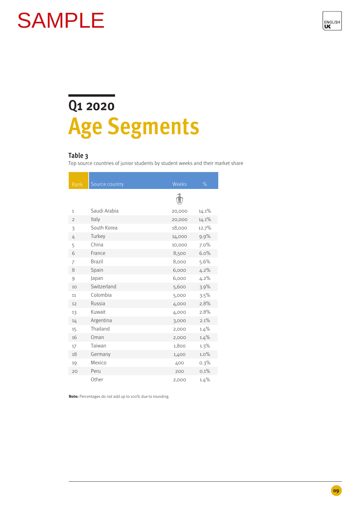

### **Q1 2020 Age Segments**

### **Table 3**

Top source countries of junior students by student weeks and their market share

| Rank           | Source country | Weeks  | $\%$  |
|----------------|----------------|--------|-------|
|                |                |        |       |
| $\mathbf{1}$   | Saudi Arabia   | 20,000 | 14.1% |
| $\overline{2}$ | Italy          | 20,000 | 14.1% |
| 3              | South Korea    | 18,000 | 12.7% |
| 4              | Turkey         | 14,000 | 9.9%  |
| 5              | China          | 10,000 | 7.0%  |
| 6              | France         | 8,500  | 6.0%  |
| 7              | <b>Brazil</b>  | 8,000  | 5.6%  |
| 8              | Spain          | 6,000  | 4.2%  |
| 9              | Japan          | 6,000  | 4.2%  |
| 10             | Switzerland    | 5,600  | 3.9%  |
| 11             | Colombia       | 5,000  | 3.5%  |
| 12             | Russia         | 4,000  | 2.8%  |
| 13             | Kuwait         | 4,000  | 2.8%  |
| 14             | Argentina      | 3,000  | 2.1%  |
| 15             | Thailand       | 2,000  | 1.4%  |
| 16             | Oman           | 2,000  | 1.4%  |
| 17             | Taiwan         | 1,800  | 1.3%  |
| 18             | Germany        | 1,400  | 1.0%  |
| 19             | Mexico         | 400    | 0.3%  |
| 20             | Peru           | 200    | 0.1%  |
|                | Other          | 2,000  | 1.4%  |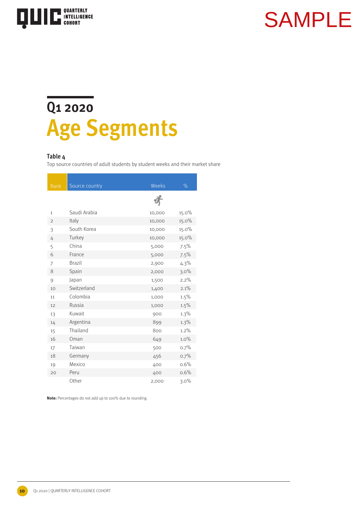

### **Q1 2020 Age Segments**

### **Table 4**

Top source countries of adult students by student weeks and their market share

| Rank           | Source country | Weeks  | $\%$  |
|----------------|----------------|--------|-------|
|                |                |        |       |
| $\mathbf{1}$   | Saudi Arabia   | 10,000 | 15.0% |
| $\overline{2}$ | Italy          | 10,000 | 15.0% |
| 3              | South Korea    | 10,000 | 15.0% |
| 4              | Turkey         | 10,000 | 15.0% |
| 5              | China          | 5,000  | 7.5%  |
| 6              | France         | 5,000  | 7.5%  |
| 7              | <b>Brazil</b>  | 2,900  | 4.3%  |
| 8              | Spain          | 2,000  | 3.0%  |
| 9              | Japan          | 1,500  | 2.2%  |
| 10             | Switzerland    | 1,400  | 2.1%  |
| 11             | Colombia       | 1,000  | 1.5%  |
| 12             | Russia         | 1,000  | 1.5%  |
| 13             | Kuwait         | 900    | 1.3%  |
| 14             | Argentina      | 899    | 1.3%  |
| 15             | Thailand       | 800    | 1.2%  |
| 16             | Oman           | 649    | 1.0%  |
| 17             | Taiwan         | 500    | 0.7%  |
| 18             | Germany        | 456    | 0.7%  |
| 19             | Mexico         | 400    | 0.6%  |
| 20             | Peru           | 400    | 0.6%  |
|                | Other          | 2,000  | 3.0%  |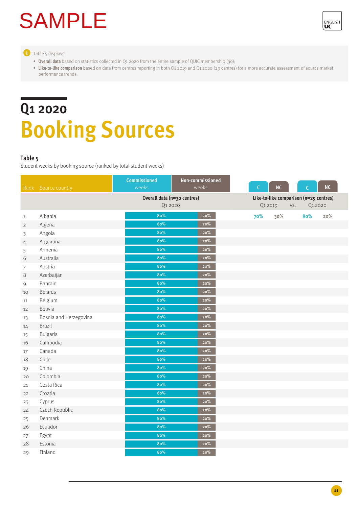

**Table 5 displays:** 

- **• Overall data** based on statistics collected in Q1 2020 from the entire sample of QUIC membership (30);
- Like-to-like comparison based on data from centres reporting in both Q1 2019 and Q1 2020 (29 centres) for a more accurate assessment of source market performance trends.

### **Q1 2020 Booking Sources**

### **Table 5**

Student weeks by booking source (ranked by total student weeks)

| Rank           | Source country         | <b>Commissioned</b><br>weeks           | Non-commissioned<br>weeks | $\mathsf{C}$ | NC                                            | $\mathsf{C}$ | NC  |
|----------------|------------------------|----------------------------------------|---------------------------|--------------|-----------------------------------------------|--------------|-----|
|                |                        | Overall data (n=30 centres)<br>Q1 2020 |                           | Q1 2019      | Like-to-like comparison (n=29 centres)<br>VS. | Q1 2020      |     |
| $\mathbf{1}$   | Albania                | 80%                                    | 20%                       | 70%          | 30%                                           | 80%          | 20% |
| $\overline{2}$ | Algeria                | 80%                                    | $20\%$                    |              |                                               |              |     |
| 3              | Angola                 | 80%                                    | 20%                       |              |                                               |              |     |
| 4              | Argentina              | 80%                                    | $20\%$                    |              |                                               |              |     |
| 5              | Armenia                | 80%                                    | $20\%$                    |              |                                               |              |     |
| 6              | Australia              | 80%                                    | 20%                       |              |                                               |              |     |
| 7              | Austria                | 80%                                    | 20%                       |              |                                               |              |     |
| 8              | Azerbaijan             | 80%                                    | $20\%$                    |              |                                               |              |     |
| 9              | Bahrain                | 80%                                    | $20\%$                    |              |                                               |              |     |
| 10             | <b>Belarus</b>         | 80%                                    | $20\%$                    |              |                                               |              |     |
| 11             | Belgium                | 80%                                    | 20%                       |              |                                               |              |     |
| 12             | Bolivia                | 80%                                    | $20\%$                    |              |                                               |              |     |
| 13             | Bosnia and Herzegovina | 80%                                    | $20\%$                    |              |                                               |              |     |
| 14             | <b>Brazil</b>          | 80%                                    | 20%                       |              |                                               |              |     |
| 15             | Bulgaria               | 80%                                    | $20\%$                    |              |                                               |              |     |
| 16             | Cambodia               | 80%                                    | 20%                       |              |                                               |              |     |
| 17             | Canada                 | 80%                                    | $20\%$                    |              |                                               |              |     |
| 18             | Chile                  | 80%                                    | $20\%$                    |              |                                               |              |     |
| 19             | China                  | 80%                                    | $20\%$                    |              |                                               |              |     |
| 20             | Colombia               | 80%                                    | $20\%$                    |              |                                               |              |     |
| 21             | Costa Rica             | 80%                                    | 20%                       |              |                                               |              |     |
| 22             | Croatia                | 80%                                    | $20\%$                    |              |                                               |              |     |
| 23             | Cyprus                 | 80%                                    | $20\%$                    |              |                                               |              |     |
| 24             | Czech Republic         | 80%                                    | 20%                       |              |                                               |              |     |
| 25             | Denmark                | 80%                                    | $20\%$                    |              |                                               |              |     |
| 26             | Ecuador                | 80%                                    | 20%                       |              |                                               |              |     |
| 27             | Egypt                  | 80%                                    | 20%                       |              |                                               |              |     |
| 28             | Estonia                | 80%                                    | 20%                       |              |                                               |              |     |
| 29             | Finland                | 80%                                    | 20%                       |              |                                               |              |     |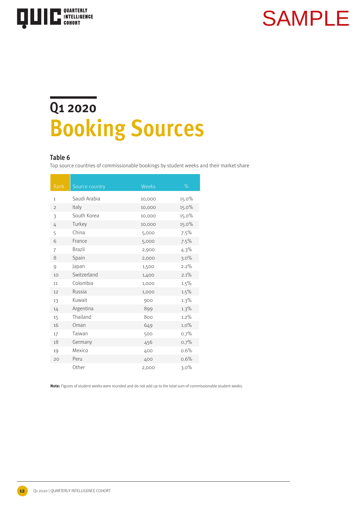

### **Q1 2020 Booking Sources**

### **Table 6**

Top source countries of commissionable bookings by student weeks and their market share

| Rank           | Source country | Weeks  | $\%$  |
|----------------|----------------|--------|-------|
| $\mathbf{1}$   | Saudi Arabia   | 10,000 | 15.0% |
| $\overline{2}$ | Italy          | 10,000 | 15.0% |
| 3              | South Korea    | 10,000 | 15.0% |
| 4              | Turkey         | 10,000 | 15.0% |
| 5              | China          | 5,000  | 7.5%  |
| 6              | France         | 5,000  | 7.5%  |
| 7              | <b>Brazil</b>  | 2,900  | 4.3%  |
| 8              | Spain          | 2,000  | 3.0%  |
| 9              | Japan          | 1,500  | 2.2%  |
| 10             | Switzerland    | 1,400  | 2.1%  |
| 11             | Colombia       | 1,000  | 1.5%  |
| 12             | Russia         | 1,000  | 1.5%  |
| 13             | Kuwait         | 900    | 1.3%  |
| 14             | Argentina      | 899    | 1.3%  |
| 15             | Thailand       | 800    | 1.2%  |
| 16             | Oman           | 649    | 1.0%  |
| 17             | Taiwan         | 500    | 0.7%  |
| 18             | Germany        | 456    | 0.7%  |
| 19             | Mexico         | 400    | 0.6%  |
| 20             | Peru           | 400    | 0.6%  |
|                | Other          | 2,000  | 3.0%  |

**Note:** Figures of student weeks were rounded and do not add up to the total sum of commissionable student weeks.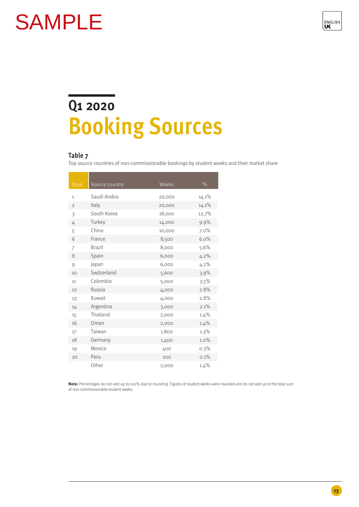

## **Q1 2020 Booking Sources**

### **Table 7**

Top source countries of non-commissionable bookings by student weeks and their market share

| Rank          | Source country | Weeks  | $\%$  |
|---------------|----------------|--------|-------|
| $\mathbf{1}$  | Saudi Arabia   | 20,000 | 14.1% |
| $\mathcal{P}$ | Italy          | 20,000 | 14.1% |
| 3             | South Korea    | 18,000 | 12.7% |
| 4             | Turkey         | 14,000 | 9.9%  |
| 5             | China          | 10,000 | 7.0%  |
| 6             | France         | 8,500  | 6.0%  |
| 7             | <b>Brazil</b>  | 8,000  | 5.6%  |
| 8             | Spain          | 6,000  | 4.2%  |
| 9             | Japan          | 6,000  | 4.2%  |
| 10            | Switzerland    | 5,600  | 3.9%  |
| 11            | Colombia       | 5,000  | 3.5%  |
| 12            | Russia         | 4,000  | 2.8%  |
| 13            | Kuwait         | 4,000  | 2.8%  |
| 14            | Argentina      | 3,000  | 2.1%  |
| 15            | Thailand       | 2,000  | 1.4%  |
| 16            | Oman           | 2,000  | 1.4%  |
| 17            | Taiwan         | 1,800  | 1.3%  |
| 18            | Germany        | 1,400  | 1.0%  |
| 19            | Mexico         | 400    | 0.3%  |
| 20            | Peru           | 200    | 0.1%  |
|               | Other          | 2,000  | 1.4%  |

**Note:** Percentages do not add up to 100% due to rounding. Figures of student weeks were rounded and do not add up to the total sum of non-commissionable student weeks.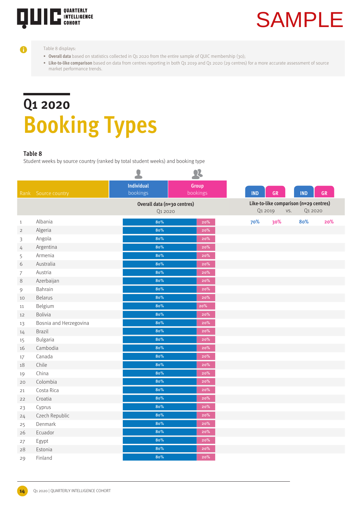

### Table 8 displays:

A

- Overall data based on statistics collected in Q1 2020 from the entire sample of QUIC membership (30);
- Like-to-like comparison based on data from centres reporting in both Q1 2019 and Q1 2020 (29 centres) for a more accurate assessment of source market performance trends.

# **Q1 2020 Booking Types**

### **Table 8**

Student weeks by source country (ranked by total student weeks) and booking type

|                |                        | $\bullet$                              | $\boldsymbol{\mathcal{R}}$ |            |         |                                                          |           |
|----------------|------------------------|----------------------------------------|----------------------------|------------|---------|----------------------------------------------------------|-----------|
| Rank           | Source country         | <b>Individual</b><br>bookings          | Group<br>bookings          | <b>IND</b> | GR      | <b>IND</b>                                               | <b>GR</b> |
|                |                        | Overall data (n=30 centres)<br>Q1 2020 |                            |            | Q1 2019 | Like-to-like comparison (n=29 centres)<br>Q1 2020<br>VS. |           |
| $\mathbf{1}$   | Albania                | 80%                                    | 20%                        | 70%        | 30%     | 80%                                                      | 20%       |
| $\overline{2}$ | Algeria                | 80%                                    | $20\%$                     |            |         |                                                          |           |
| 3              | Angola                 | 80%                                    | 20%                        |            |         |                                                          |           |
| 4              | Argentina              | 80%                                    | $20\%$                     |            |         |                                                          |           |
| 5              | Armenia                | 80%                                    | 20%                        |            |         |                                                          |           |
| 6              | Australia              | 80%                                    | $20\%$                     |            |         |                                                          |           |
| $\overline{7}$ | Austria                | 80%                                    | $20\%$                     |            |         |                                                          |           |
| 8              | Azerbaijan             | 80%                                    | $20\%$                     |            |         |                                                          |           |
| 9              | Bahrain                | 80%                                    | $20\%$                     |            |         |                                                          |           |
| 10             | Belarus                | 80%                                    | 20%                        |            |         |                                                          |           |
| 11             | Belgium                | 80%                                    | 20%                        |            |         |                                                          |           |
| 12             | Bolivia                | 80%                                    | $20\%$                     |            |         |                                                          |           |
| 13             | Bosnia and Herzegovina | 80%                                    | 20%                        |            |         |                                                          |           |
| 14             | <b>Brazil</b>          | 80%                                    | $20\%$                     |            |         |                                                          |           |
| 15             | Bulgaria               | 80%                                    | $20\%$                     |            |         |                                                          |           |
| 16             | Cambodia               | 80%                                    | 20%                        |            |         |                                                          |           |
| 17             | Canada                 | 80%                                    | 20%                        |            |         |                                                          |           |
| 18             | Chile                  | 80%                                    | 20%                        |            |         |                                                          |           |
| 19             | China                  | 80%                                    | $20\%$                     |            |         |                                                          |           |
| 20             | Colombia               | 80%                                    | 20%                        |            |         |                                                          |           |
| 21             | Costa Rica             | 80%                                    | 20%                        |            |         |                                                          |           |
| 22             | Croatia                | 80%                                    | 20%                        |            |         |                                                          |           |
| 23             | Cyprus                 | 80%                                    | 20%                        |            |         |                                                          |           |
| 24             | Czech Republic         | 80%                                    | $20\%$                     |            |         |                                                          |           |
| 25             | Denmark                | 80%                                    | $\bf 20\%$                 |            |         |                                                          |           |
| 26             | Ecuador                | 80%                                    | $20\%$                     |            |         |                                                          |           |
| 27             | Egypt                  | 80%                                    | 20%                        |            |         |                                                          |           |
| 28             | Estonia                | 80%                                    | 20%                        |            |         |                                                          |           |
| 29             | Finland                | 80%                                    | 20%                        |            |         |                                                          |           |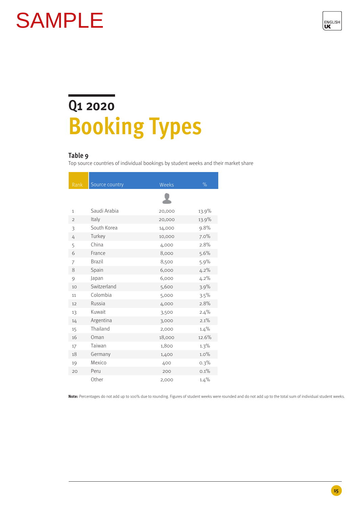

# **Q1 2020 Booking Types**

### **Table 9**

Top source countries of individual bookings by student weeks and their market share

|                | Source country | Weeks  | $\%$  |
|----------------|----------------|--------|-------|
| Rank           |                |        |       |
|                |                |        |       |
| $\mathbf{1}$   | Saudi Arabia   | 20,000 | 13.9% |
| $\overline{2}$ | Italy          | 20,000 | 13.9% |
| 3              | South Korea    | 14,000 | 9.8%  |
| 4              | Turkey         | 10,000 | 7.0%  |
| 5              | China          | 4,000  | 2.8%  |
| 6              | France         | 8,000  | 5.6%  |
| 7              | <b>Brazil</b>  | 8,500  | 5.9%  |
| 8              | Spain          | 6,000  | 4.2%  |
| 9              | Japan          | 6,000  | 4.2%  |
| 10             | Switzerland    | 5,600  | 3.9%  |
| 11             | Colombia       | 5,000  | 3.5%  |
| 12             | Russia         | 4,000  | 2.8%  |
| 13             | Kuwait         | 3,500  | 2.4%  |
| 14             | Argentina      | 3,000  | 2.1%  |
| 15             | Thailand       | 2,000  | 1.4%  |
| 16             | Oman           | 18,000 | 12.6% |
| 17             | Taiwan         | 1,800  | 1.3%  |
| 18             | Germany        | 1,400  | 1.0%  |
| 19             | Mexico         | 400    | 0.3%  |
| 20             | Peru           | 200    | 0.1%  |
|                | Other          | 2,000  | 1.4%  |

**Note:** Percentages do not add up to 100% due to rounding. Figures of student weeks were rounded and do not add up to the total sum of individual student weeks.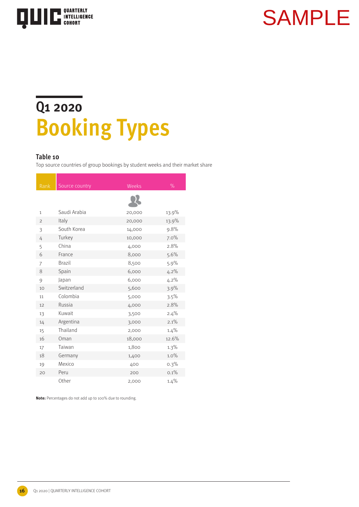

### **Q1 2020 Booking Types**

### **Table 10**

Top source countries of group bookings by student weeks and their market share

| Rank           | Source country | Weeks  | %       |
|----------------|----------------|--------|---------|
|                |                |        |         |
|                |                |        |         |
| 1              | Saudi Arabia   | 20,000 | 13.9%   |
| $\overline{2}$ | Italy          | 20,000 | 13.9%   |
| 3              | South Korea    | 14,000 | 9.8%    |
| 4              | Turkey         | 10,000 | 7.0%    |
| 5              | China          | 4,000  | 2.8%    |
| 6              | France         | 8,000  | 5.6%    |
| 7              | <b>Brazil</b>  | 8,500  | 5.9%    |
| 8              | Spain          | 6,000  | 4.2%    |
| 9              | Japan          | 6,000  | $4.2\%$ |
| 10             | Switzerland    | 5,600  | 3.9%    |
| 11             | Colombia       | 5,000  | 3.5%    |
| 12             | Russia         | 4,000  | 2.8%    |
| 13             | Kuwait         | 3,500  | 2.4%    |
| 14             | Argentina      | 3,000  | 2.1%    |
| 15             | Thailand       | 2,000  | 1.4%    |
| 16             | Oman           | 18,000 | 12.6%   |
| 17             | Taiwan         | 1,800  | 1.3%    |
| 18             | Germany        | 1,400  | 1.0%    |
| 19             | Mexico         | 400    | $0.3\%$ |
| 20             | Peru           | 200    | 0.1%    |
|                | Other          | 2,000  | 1.4%    |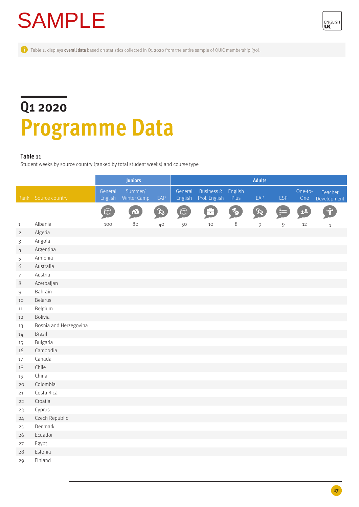

Table 11 displays **overall data** based on statistics collected in Q1 2020 from the entire sample of QUIC membership (30).

### **Q1 2020 Programme Data**

### **Table 11**

Student weeks by source country (ranked by total student weeks) and course type

|                |                        |                    | <b>Juniors</b>                |          |                          | <b>Adults</b>                          |                 |               |            |                |                        |
|----------------|------------------------|--------------------|-------------------------------|----------|--------------------------|----------------------------------------|-----------------|---------------|------------|----------------|------------------------|
|                | Rank Source country    | General<br>English | Summer/<br><b>Winter Camp</b> | EAP      | General<br>English       | <b>Business &amp;</b><br>Prof. English | English<br>Plus | EAP           | <b>ESP</b> | One-to-<br>One | Teacher<br>Development |
|                |                        | 仚                  | $\bullet$                     | $\infty$ | $\widehat{\mathbf{\Xi}}$ | b                                      | <b>FO</b>       | $\mathscr{X}$ | E          | $\mathbf{r}$   | Ý                      |
| $\mathbf{1}$   | Albania                | 100                | 80                            | 40       | 50                       | 10                                     | $8\,$           | $\mathcal{G}$ | 9          | 12             | $\mathbf{1}$           |
| $\overline{2}$ | Algeria                |                    |                               |          |                          |                                        |                 |               |            |                |                        |
| $\mathfrak z$  | Angola                 |                    |                               |          |                          |                                        |                 |               |            |                |                        |
| 4              | Argentina              |                    |                               |          |                          |                                        |                 |               |            |                |                        |
| 5              | Armenia                |                    |                               |          |                          |                                        |                 |               |            |                |                        |
| 6              | Australia              |                    |                               |          |                          |                                        |                 |               |            |                |                        |
| $\overline{7}$ | Austria                |                    |                               |          |                          |                                        |                 |               |            |                |                        |
| $\,8\,$        | Azerbaijan             |                    |                               |          |                          |                                        |                 |               |            |                |                        |
| $\mathfrak{g}$ | Bahrain                |                    |                               |          |                          |                                        |                 |               |            |                |                        |
| 10             | <b>Belarus</b>         |                    |                               |          |                          |                                        |                 |               |            |                |                        |
| 11             | Belgium                |                    |                               |          |                          |                                        |                 |               |            |                |                        |
| 12             | <b>Bolivia</b>         |                    |                               |          |                          |                                        |                 |               |            |                |                        |
| 13             | Bosnia and Herzegovina |                    |                               |          |                          |                                        |                 |               |            |                |                        |
| 14             | Brazil                 |                    |                               |          |                          |                                        |                 |               |            |                |                        |
| 15             | Bulgaria               |                    |                               |          |                          |                                        |                 |               |            |                |                        |
| 16             | Cambodia               |                    |                               |          |                          |                                        |                 |               |            |                |                        |
| 17             | Canada                 |                    |                               |          |                          |                                        |                 |               |            |                |                        |
| 18             | Chile                  |                    |                               |          |                          |                                        |                 |               |            |                |                        |
| 19             | China                  |                    |                               |          |                          |                                        |                 |               |            |                |                        |
| 20             | Colombia               |                    |                               |          |                          |                                        |                 |               |            |                |                        |
| 21             | Costa Rica             |                    |                               |          |                          |                                        |                 |               |            |                |                        |
| 22             | Croatia                |                    |                               |          |                          |                                        |                 |               |            |                |                        |
| 23             | Cyprus                 |                    |                               |          |                          |                                        |                 |               |            |                |                        |
| 24             | Czech Republic         |                    |                               |          |                          |                                        |                 |               |            |                |                        |
| 25             | Denmark                |                    |                               |          |                          |                                        |                 |               |            |                |                        |
| 26             | Ecuador                |                    |                               |          |                          |                                        |                 |               |            |                |                        |
| 27             | Egypt                  |                    |                               |          |                          |                                        |                 |               |            |                |                        |
| 28             | Estonia                |                    |                               |          |                          |                                        |                 |               |            |                |                        |
| 29             | Finland                |                    |                               |          |                          |                                        |                 |               |            |                |                        |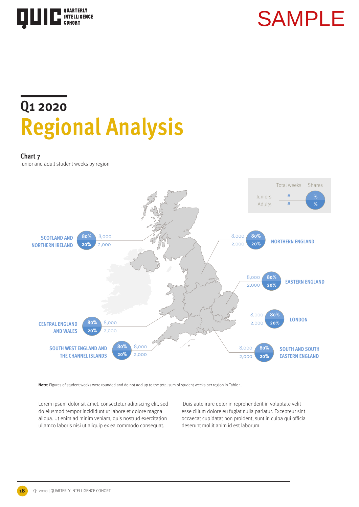

### **Q1 2020 Regional Analysis**

### **Chart 7**

Junior and adult student weeks by region



**Note:** Figures of student weeks were rounded and do not add up to the total sum of student weeks per region in Table 1.

Lorem ipsum dolor sit amet, consectetur adipiscing elit, sed do eiusmod tempor incididunt ut labore et dolore magna aliqua. Ut enim ad minim veniam, quis nostrud exercitation ullamco laboris nisi ut aliquip ex ea commodo consequat.

 Duis aute irure dolor in reprehenderit in voluptate velit esse cillum dolore eu fugiat nulla pariatur. Excepteur sint occaecat cupidatat non proident, sunt in culpa qui officia deserunt mollit anim id est laborum.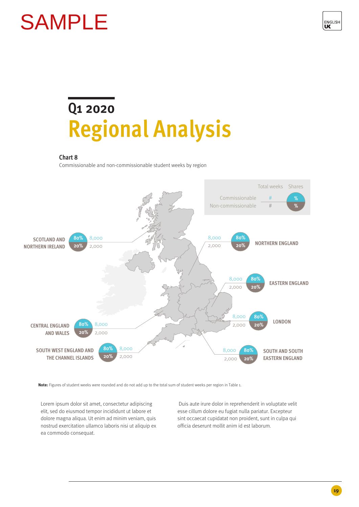![](_page_18_Picture_1.jpeg)

### **Q1 2020 Regional Analysis**

### **Chart 8**

Commissionable and non-commissionable student weeks by region

![](_page_18_Figure_5.jpeg)

**Note:** Figures of student weeks were rounded and do not add up to the total sum of student weeks per region in Table 1.

Lorem ipsum dolor sit amet, consectetur adipiscing elit, sed do eiusmod tempor incididunt ut labore et dolore magna aliqua. Ut enim ad minim veniam, quis nostrud exercitation ullamco laboris nisi ut aliquip ex ea commodo consequat.

 Duis aute irure dolor in reprehenderit in voluptate velit esse cillum dolore eu fugiat nulla pariatur. Excepteur sint occaecat cupidatat non proident, sunt in culpa qui officia deserunt mollit anim id est laborum.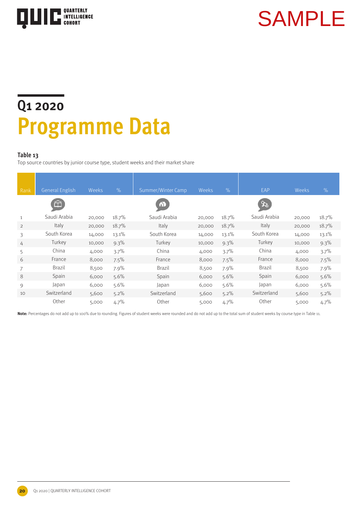![](_page_19_Picture_0.jpeg)

### **Q1 2020 Programme Data**

### **Table 13**

Top source countries by junior course type, student weeks and their market share

| Rank           | <b>General English</b> | Weeks  | $\frac{9}{6}$ | Summer/Winter Camp | Weeks  | $\frac{9}{6}$ | EAP           | Weeks  | %       |
|----------------|------------------------|--------|---------------|--------------------|--------|---------------|---------------|--------|---------|
|                | 血                      |        |               | $\bullet$          |        |               | ℅             |        |         |
| $\mathbf{1}$   | Saudi Arabia           | 20,000 | 18.7%         | Saudi Arabia       | 20,000 | 18.7%         | Saudi Arabia  | 20,000 | 18.7%   |
| $\overline{2}$ | Italy                  | 20,000 | 18.7%         | Italy              | 20,000 | 18.7%         | Italy         | 20,000 | 18.7%   |
| 3              | South Korea            | 14,000 | 13.1%         | South Korea        | 14,000 | 13.1%         | South Korea   | 14,000 | 13.1%   |
| 4              | Turkey                 | 10,000 | $9.3\%$       | Turkey             | 10,000 | $9.3\%$       | Turkey        | 10,000 | $9.3\%$ |
| 5              | China                  | 4,000  | 3.7%          | China              | 4,000  | 3.7%          | China         | 4,000  | 3.7%    |
| 6              | France                 | 8,000  | 7.5%          | France             | 8,000  | 7.5%          | France        | 8,000  | 7.5%    |
| 7              | <b>Brazil</b>          | 8,500  | 7.9%          | Brazil             | 8,500  | 7.9%          | <b>Brazil</b> | 8,500  | 7.9%    |
| 8              | Spain                  | 6,000  | 5.6%          | Spain              | 6,000  | 5.6%          | Spain         | 6,000  | 5.6%    |
| 9              | Japan                  | 6,000  | 5.6%          | Japan              | 6,000  | 5.6%          | Japan         | 6,000  | 5.6%    |
| 10             | Switzerland            | 5,600  | 5.2%          | Switzerland        | 5,600  | $5.2\%$       | Switzerland   | 5,600  | $5.2\%$ |
|                | Other                  | 5,000  | 4.7%          | Other              | 5,000  | 4.7%          | Other         | 5,000  | 4.7%    |

**Note:** Percentages do not add up to 100% due to rounding. Figures of student weeks were rounded and do not add up to the total sum of student weeks by course type in Table 11.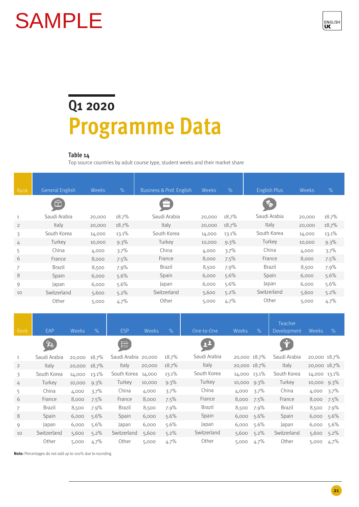![](_page_20_Picture_1.jpeg)

### **Q1 2020 Programme Data**

### **Table 14**

Top source countries by adult course type, student weeks and their market share

| Rank           | <b>General English</b> | Weeks  | $\%$    | Business & Prof. English | Weeks  | %       | <b>English Plus</b> | Weeks  | $\%$    |
|----------------|------------------------|--------|---------|--------------------------|--------|---------|---------------------|--------|---------|
|                | 仚                      |        |         |                          |        |         | E.                  |        |         |
| $\mathbf{1}$   | Saudi Arabia           | 20,000 | 18.7%   | Saudi Arabia             | 20,000 | 18.7%   | Saudi Arabia        | 20,000 | 18.7%   |
| $\overline{2}$ | Italy                  | 20,000 | 18.7%   | Italy                    | 20,000 | 18.7%   | Italy               | 20,000 | 18.7%   |
| 3              | South Korea            | 14,000 | 13.1%   | South Korea              | 14,000 | 13.1%   | South Korea         | 14,000 | 13.1%   |
| 4              | Turkey                 | 10,000 | 9.3%    | Turkey                   | 10,000 | $9.3\%$ | Turkey              | 10,000 | $9.3\%$ |
| 5              | China                  | 4,000  | 3.7%    | China                    | 4,000  | 3.7%    | China               | 4,000  | 3.7%    |
| 6              | France                 | 8,000  | 7.5%    | France                   | 8,000  | 7.5%    | France              | 8,000  | 7.5%    |
| 7              | <b>Brazil</b>          | 8,500  | 7.9%    | <b>Brazil</b>            | 8,500  | 7.9%    | Brazil              | 8,500  | 7.9%    |
| 8              | Spain                  | 6,000  | $5.6\%$ | Spain                    | 6,000  | 5.6%    | Spain               | 6,000  | 5.6%    |
| 9              | Japan                  | 6,000  | 5.6%    | Japan                    | 6,000  | 5.6%    | Japan               | 6,000  | 5.6%    |
| 10             | Switzerland            | 5,600  | $5.2\%$ | Switzerland              | 5,600  | 5.2%    | Switzerland         | 5,600  | $5.2\%$ |
|                | Other                  | 5,000  | 4.7%    | Other                    | 5,000  | 4.7%    | Other               | 5,000  | 4.7%    |

| Rank           | <b>EAP</b>    | <b>Weeks</b> | $\%$    | <b>ESP</b>          | <b>Weeks</b> | $\%$  | One-to-One    | Weeks        | $\frac{9}{6}$ | Teacher<br>Development | Weeks          | $\%$    |
|----------------|---------------|--------------|---------|---------------------|--------------|-------|---------------|--------------|---------------|------------------------|----------------|---------|
|                | SS.           |              |         | 這                   |              |       | <u>22</u>     |              |               |                        |                |         |
| $\mathbf{1}$   | Saudi Arabia  | 20,000       | 18.7%   | Saudi Arabia 20,000 |              | 18.7% | Saudi Arabia  | 20,000 18.7% |               | Saudi Arabia           | 20,000 18.7%   |         |
| $\overline{2}$ | Italy         | 20,000       | 18.7%   | Italy               | 20,000       | 18.7% | Italy         | 20,000 18.7% |               | Italy                  | 20,000 18.7%   |         |
| 3              | South Korea   | 14,000       | 13.1%   | South Korea         | 14,000       | 13.1% | South Korea   | 14,000 13.1% |               | South Korea            | 14,000 13.1%   |         |
| 4              | Turkey        | 10,000       | 9.3%    | Turkey              | 10,000       | 9.3%  | Turkey        | 10,000 9.3%  |               | Turkey                 | 10,000 9.3%    |         |
| 5              | China         | 4,000        | 3.7%    | China               | 4,000        | 3.7%  | China         | 4,000        | 3.7%          | China                  | 4,000 3.7%     |         |
| 6              | France        | 8,000        | 7.5%    | France              | 8,000        | 7.5%  | France        | 8,000        | $7.5\%$       | France                 | 8,000 7.5%     |         |
|                | <b>Brazil</b> | 8,500        | 7.9%    | <b>Brazil</b>       | 8,500        | 7.9%  | <b>Brazil</b> | 8,500        | 7.9%          | <b>Brazil</b>          | 8,500 7.9%     |         |
| 8              | Spain         | 6,000        | $5.6\%$ | Spain               | 6,000        | 5.6%  | Spain         | 6,000        | $5.6\%$       | Spain                  | $6,000, 5.6\%$ |         |
| 9              | Japan         | 6,000        | 5.6%    | Japan               | 6,000        | 5.6%  | Japan         | 6,000        | $5.6\%$       | Japan                  | 6,000 5.6%     |         |
| 10             | Switzerland   | 5,600        | $5.2\%$ | Switzerland         | 5,600        | 5.2%  | Switzerland   | 5,600        | $5.2\%$       | Switzerland            | 5,600          | $5.2\%$ |
|                | Other         | 5,000        | $4.7\%$ | Other               | 5,000        | 4.7%  | Other         | 5,000        | $4.7\%$       | Other                  | 5,000          | 4.7%    |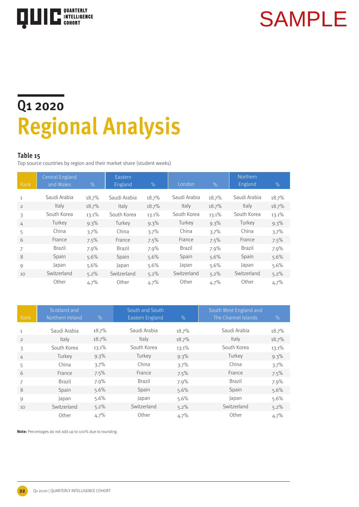![](_page_21_Picture_0.jpeg)

### **Q1 2020 Regional Analysis**

### **Table 15**

Top source countries by region and their market share (student weeks)

| Rank | <b>Central England</b><br>and Wales | $\%$  | Eastern<br>England | $\%$    | London       | $\%$    | Northern<br>England | $\%$  |
|------|-------------------------------------|-------|--------------------|---------|--------------|---------|---------------------|-------|
| 1    | Saudi Arabia                        | 18.7% | Saudi Arabia       | 18.7%   | Saudi Arabia | 18.7%   | Saudi Arabia        | 18.7% |
| 2    | Italy                               | 18.7% | Italy              | 18.7%   | Italy        | 18.7%   | Italy               | 18.7% |
| 3    | South Korea                         | 13.1% | South Korea        | 13.1%   | South Korea  | 13.1%   | South Korea         | 13.1% |
| 4    | Turkey                              | 9.3%  | Turkey             | $9.3\%$ | Turkey       | $9.3\%$ | Turkey              | 9.3%  |
| 5    | China                               | 3.7%  | China              | 3.7%    | China        | 3.7%    | China               | 3.7%  |
| 6    | France                              | 7.5%  | France             | 7.5%    | France       | 7.5%    | France              | 7.5%  |
| 7    | <b>Brazil</b>                       | 7.9%  | Brazil             | 7.9%    | Brazil       | 7.9%    | Brazil              | 7.9%  |
| 8    | Spain                               | 5.6%  | Spain              | 5.6%    | Spain        | 5.6%    | Spain               | 5.6%  |
| 9    | Japan                               | 5.6%  | Japan              | 5.6%    | Japan        | 5.6%    | Japan               | 5.6%  |
| 10   | Switzerland                         | 5.2%  | Switzerland        | 5.2%    | Switzerland  | 5.2%    | Switzerland         | 5.2%  |
|      | Other                               | 4.7%  | Other              | 4.7%    | Other        | 4.7%    | Other               | 4.7%  |

| Rank          | Scotland and<br>Northern Ireland | $\%$    | South and South<br>Eastern England | $\%$    | South West England and<br>The Channel Islands | $\%$  |
|---------------|----------------------------------|---------|------------------------------------|---------|-----------------------------------------------|-------|
| 1             | Saudi Arabia                     | 18.7%   | Saudi Arabia                       | 18.7%   | Saudi Arabia                                  | 18.7% |
|               | Italy                            | 18.7%   | Italy                              | 18.7%   | Italy                                         |       |
| $\mathcal{L}$ |                                  |         |                                    |         |                                               | 18.7% |
| 3             | South Korea                      | 13.1%   | South Korea                        | 13.1%   | South Korea                                   | 13.1% |
| 4             | Turkey                           | $9.3\%$ | Turkey                             | 9.3%    | Turkey                                        | 9.3%  |
| 5             | China                            | $3.7\%$ | China                              | 3.7%    | China                                         | 3.7%  |
| 6             | France                           | $7.5\%$ | France                             | 7.5%    | France                                        | 7.5%  |
| 7             | <b>Brazil</b>                    | $7.9\%$ | Brazil                             | $7.9\%$ | <b>Brazil</b>                                 | 7.9%  |
| 8             | Spain                            | $5.6\%$ | Spain                              | $5.6\%$ | Spain                                         | 5.6%  |
| 9             | Japan                            | $5.6\%$ | Japan                              | $5.6\%$ | Japan                                         | 5.6%  |
| 10            | Switzerland                      | $5.2\%$ | Switzerland                        | $5.2\%$ | Switzerland                                   | 5.2%  |
|               | Other                            | 4.7%    | Other                              | 4.7%    | Other                                         | 4.7%  |

![](_page_21_Picture_9.jpeg)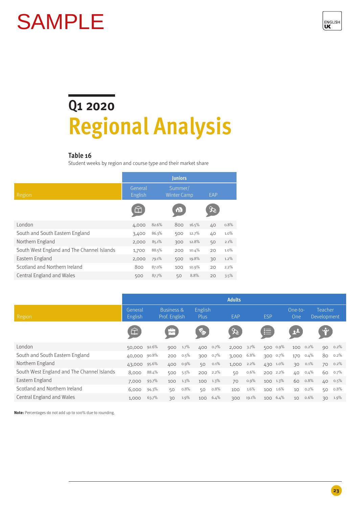![](_page_22_Picture_1.jpeg)

### **Q1 2020 Regional Analysis**

### **Table 16**

Student weeks by region and course type and their market share

|                                            | <b>Juniors</b>     |       |                               |       |     |      |  |  |  |  |  |
|--------------------------------------------|--------------------|-------|-------------------------------|-------|-----|------|--|--|--|--|--|
| Region                                     | General<br>English |       | Summer/<br><b>Winter Camp</b> |       | EAP |      |  |  |  |  |  |
|                                            |                    |       | $\Omega$                      |       |     |      |  |  |  |  |  |
| London                                     | 4,000              | 82.6% | 800                           | 16.5% | 40  | 0.8% |  |  |  |  |  |
| South and South Eastern England            | 3,400              | 86.3% | 500                           | 12.7% | 40  | 1.0% |  |  |  |  |  |
| Northern England                           | 2,000              | 85.1% | 300                           | 12.8% | 50  | 2.1% |  |  |  |  |  |
| South West England and The Channel Islands | 1,700              | 88.5% | 200                           | 10.4% | 20  | 1.0% |  |  |  |  |  |
| Eastern England                            | 2,000              | 79.1% | 500                           | 19.8% | 30  | 1.2% |  |  |  |  |  |
| Scotland and Northern Ireland              | 800                | 87.0% | 100                           | 10.9% | 20  | 2.2% |  |  |  |  |  |
| Central England and Wales                  | 500                | 87.7% | 50                            | 8.8%  | 20  | 3.5% |  |  |  |  |  |

|                                            |                    |       |                                        |         |                        |         | <b>Adults</b>               |         |            |          |                |          |                        |         |
|--------------------------------------------|--------------------|-------|----------------------------------------|---------|------------------------|---------|-----------------------------|---------|------------|----------|----------------|----------|------------------------|---------|
| Region                                     | General<br>English |       | <b>Business &amp;</b><br>Prof. English |         | English<br><b>Plus</b> |         | EAP                         |         | <b>ESP</b> |          | One-to-<br>One |          | Teacher<br>Development |         |
|                                            | 仚                  |       | m                                      |         | E.                     |         | $\mathcal{X}_{\mathcal{C}}$ |         | 启          |          | 2 <sup>2</sup> |          | $\mathbf{\dot{r}}$     |         |
| London                                     | 50,000 92.6%       |       | 900 1.7%                               |         | 400                    | $0.7\%$ | $2,000$ $3.7\%$             |         |            | 500 0.9% |                | 100 0.2% |                        | 90 0.2% |
| South and South Eastern England            | 40,000 90.8%       |       | 200                                    | $0.5\%$ | 300                    | $0.7\%$ | 3,000                       | 6.8%    |            | 300 0.7% | 170            | $0.4\%$  |                        | 80 0.2% |
| Northern England                           | 43,000 95.6%       |       | 400 0.9%                               |         | 50                     | 0.1%    | 1,000                       | $2.2\%$ |            | 430 1.0% | 30             | $0.1\%$  |                        | 70 0.2% |
| South West England and The Channel Islands | 8,000              | 88.4% | 500                                    | $5.5\%$ | 200                    | $2.2\%$ | 50                          | 0.6%    |            | 200 2.2% | 40             | $0.4\%$  | 60                     | $0.7\%$ |
| Eastern England                            | 7,000              | 93.7% | 100                                    | $1.3\%$ | 100                    | $1.3\%$ | 70                          | 0.9%    |            | 100 1.3% |                | 60 0.8%  |                        | 40 0.5% |
| Scotland and Northern Ireland              | 6,000              | 94.3% | 50                                     | 0.8%    | 50                     | $0.8\%$ | 100                         | 1.6%    | $100 -$    | $1.6\%$  | 10             | $0.2\%$  | 50                     | $0.8\%$ |
| Central England and Wales                  | 1,000              | 63.7% | 30                                     | 1.9%    | 100                    | 6.4%    | 300                         | 19.1%   |            | 100 6.4% | 10             | $0.6\%$  | 30                     | $1.9\%$ |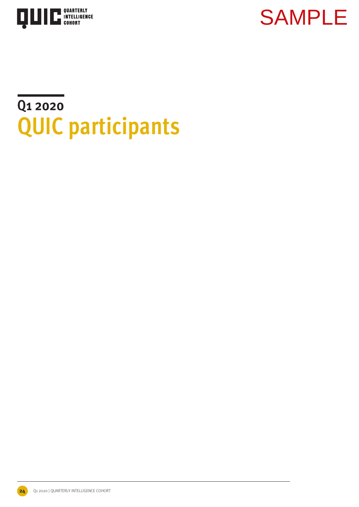![](_page_23_Picture_0.jpeg)

### **Q1 2020 QUIC participants**

**24** Q1 2020 | QUARTERLY INTELLIGENCE COHORT